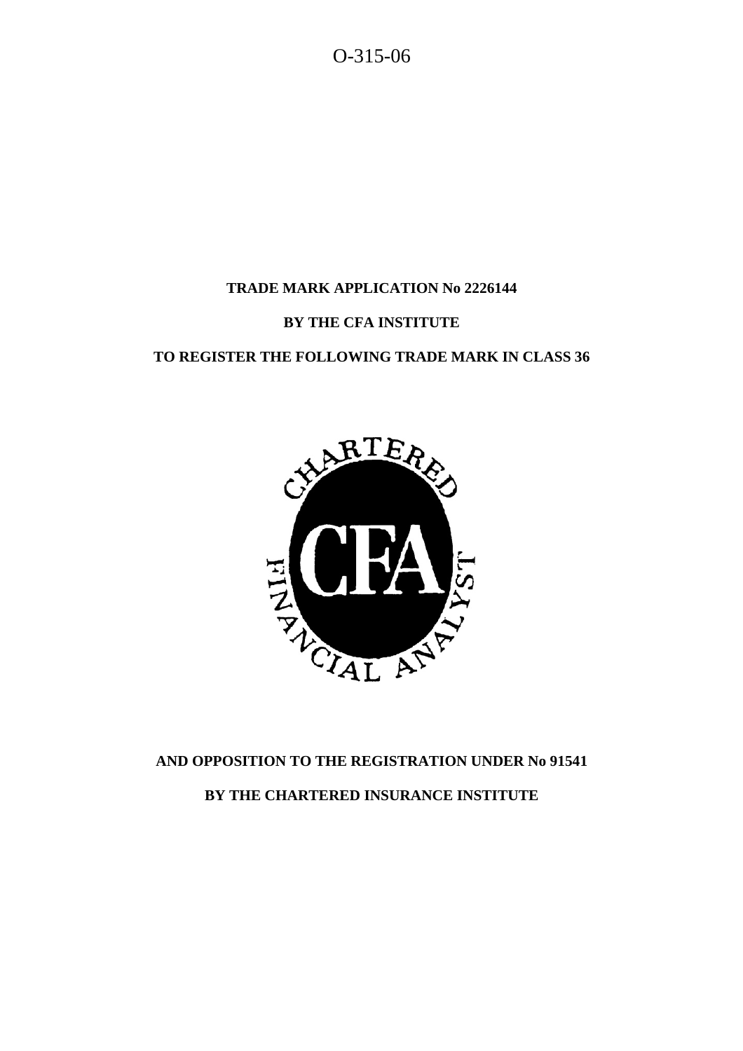O-315-06

# **TRADE MARK APPLICATION No 2226144**

# **BY THE CFA INSTITUTE**

# **TO REGISTER THE FOLLOWING TRADE MARK IN CLASS 36**



# **AND OPPOSITION TO THE REGISTRATION UNDER No 91541 BY THE CHARTERED INSURANCE INSTITUTE**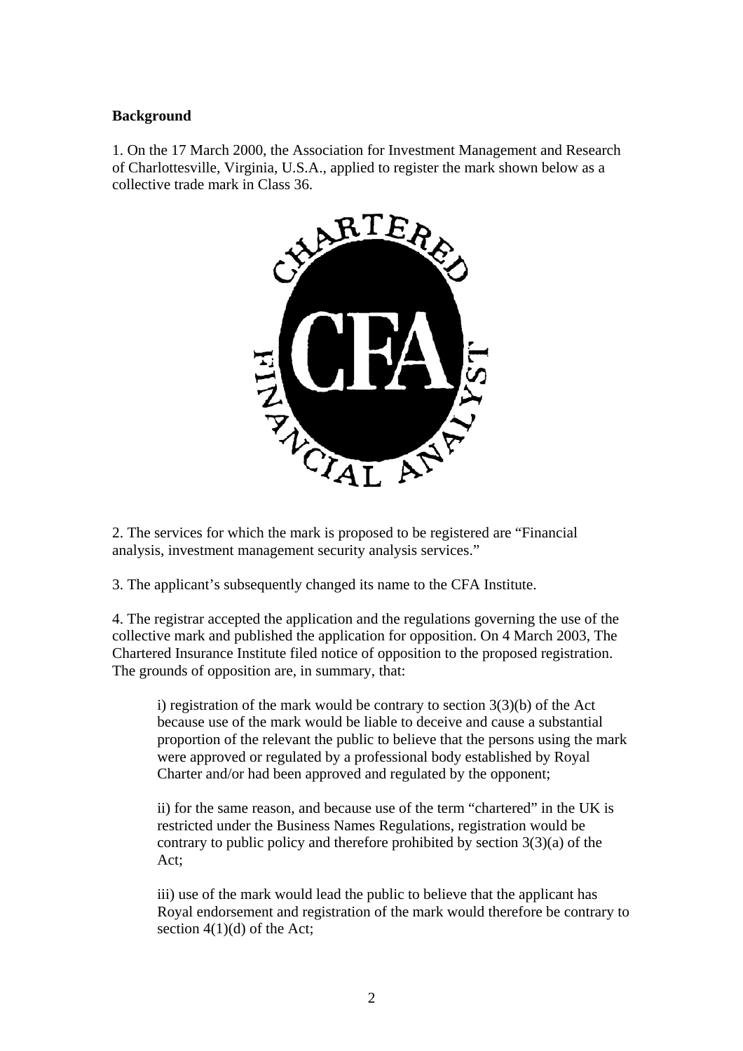#### **Background**

1. On the 17 March 2000, the Association for Investment Management and Research of Charlottesville, Virginia, U.S.A., applied to register the mark shown below as a collective trade mark in Class 36.



2. The services for which the mark is proposed to be registered are "Financial analysis, investment management security analysis services."

3. The applicant's subsequently changed its name to the CFA Institute.

4. The registrar accepted the application and the regulations governing the use of the collective mark and published the application for opposition. On 4 March 2003, The Chartered Insurance Institute filed notice of opposition to the proposed registration. The grounds of opposition are, in summary, that:

i) registration of the mark would be contrary to section  $3(3)(b)$  of the Act because use of the mark would be liable to deceive and cause a substantial proportion of the relevant the public to believe that the persons using the mark were approved or regulated by a professional body established by Royal Charter and/or had been approved and regulated by the opponent;

ii) for the same reason, and because use of the term "chartered" in the UK is restricted under the Business Names Regulations, registration would be contrary to public policy and therefore prohibited by section  $3(3)(a)$  of the Act;

iii) use of the mark would lead the public to believe that the applicant has Royal endorsement and registration of the mark would therefore be contrary to section  $4(1)(d)$  of the Act;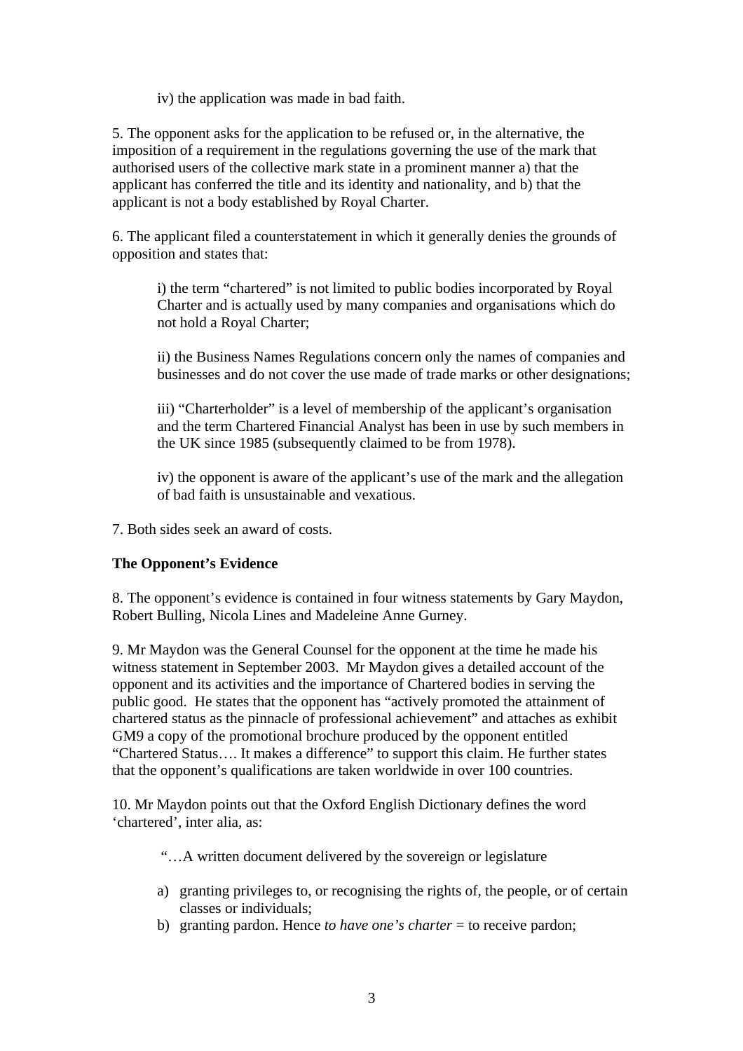iv) the application was made in bad faith.

5. The opponent asks for the application to be refused or, in the alternative, the imposition of a requirement in the regulations governing the use of the mark that authorised users of the collective mark state in a prominent manner a) that the applicant has conferred the title and its identity and nationality, and b) that the applicant is not a body established by Royal Charter.

6. The applicant filed a counterstatement in which it generally denies the grounds of opposition and states that:

i) the term "chartered" is not limited to public bodies incorporated by Royal Charter and is actually used by many companies and organisations which do not hold a Royal Charter;

ii) the Business Names Regulations concern only the names of companies and businesses and do not cover the use made of trade marks or other designations;

iii) "Charterholder" is a level of membership of the applicant's organisation and the term Chartered Financial Analyst has been in use by such members in the UK since 1985 (subsequently claimed to be from 1978).

iv) the opponent is aware of the applicant's use of the mark and the allegation of bad faith is unsustainable and vexatious.

7. Both sides seek an award of costs.

# **The Opponent's Evidence**

8. The opponent's evidence is contained in four witness statements by Gary Maydon, Robert Bulling, Nicola Lines and Madeleine Anne Gurney.

9. Mr Maydon was the General Counsel for the opponent at the time he made his witness statement in September 2003. Mr Maydon gives a detailed account of the opponent and its activities and the importance of Chartered bodies in serving the public good. He states that the opponent has "actively promoted the attainment of chartered status as the pinnacle of professional achievement" and attaches as exhibit GM9 a copy of the promotional brochure produced by the opponent entitled "Chartered Status…. It makes a difference" to support this claim. He further states that the opponent's qualifications are taken worldwide in over 100 countries.

10. Mr Maydon points out that the Oxford English Dictionary defines the word 'chartered', inter alia, as:

"…A written document delivered by the sovereign or legislature

- a) granting privileges to, or recognising the rights of, the people, or of certain classes or individuals;
- b) granting pardon. Hence *to have one's charter* = to receive pardon;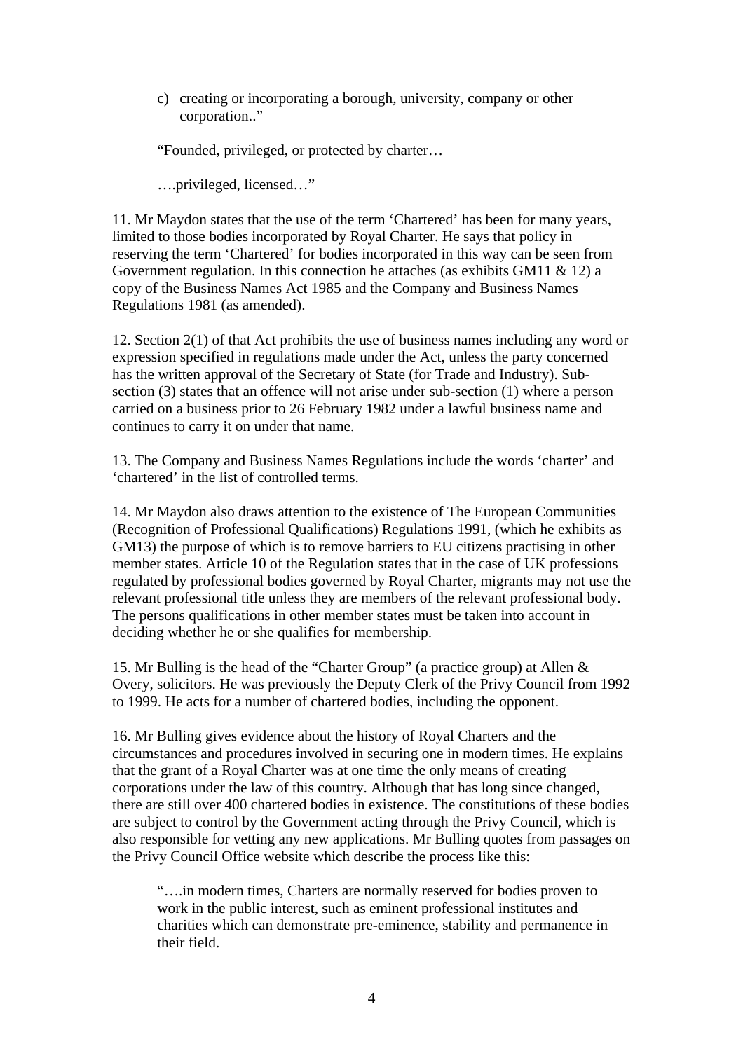c) creating or incorporating a borough, university, company or other corporation.."

"Founded, privileged, or protected by charter…

….privileged, licensed…"

11. Mr Maydon states that the use of the term 'Chartered' has been for many years, limited to those bodies incorporated by Royal Charter. He says that policy in reserving the term 'Chartered' for bodies incorporated in this way can be seen from Government regulation. In this connection he attaches (as exhibits GM11 & 12) a copy of the Business Names Act 1985 and the Company and Business Names Regulations 1981 (as amended).

12. Section 2(1) of that Act prohibits the use of business names including any word or expression specified in regulations made under the Act, unless the party concerned has the written approval of the Secretary of State (for Trade and Industry). Subsection (3) states that an offence will not arise under sub-section (1) where a person carried on a business prior to 26 February 1982 under a lawful business name and continues to carry it on under that name.

13. The Company and Business Names Regulations include the words 'charter' and 'chartered' in the list of controlled terms.

14. Mr Maydon also draws attention to the existence of The European Communities (Recognition of Professional Qualifications) Regulations 1991, (which he exhibits as GM13) the purpose of which is to remove barriers to EU citizens practising in other member states. Article 10 of the Regulation states that in the case of UK professions regulated by professional bodies governed by Royal Charter, migrants may not use the relevant professional title unless they are members of the relevant professional body. The persons qualifications in other member states must be taken into account in deciding whether he or she qualifies for membership.

15. Mr Bulling is the head of the "Charter Group" (a practice group) at Allen & Overy, solicitors. He was previously the Deputy Clerk of the Privy Council from 1992 to 1999. He acts for a number of chartered bodies, including the opponent.

16. Mr Bulling gives evidence about the history of Royal Charters and the circumstances and procedures involved in securing one in modern times. He explains that the grant of a Royal Charter was at one time the only means of creating corporations under the law of this country. Although that has long since changed, there are still over 400 chartered bodies in existence. The constitutions of these bodies are subject to control by the Government acting through the Privy Council, which is also responsible for vetting any new applications. Mr Bulling quotes from passages on the Privy Council Office website which describe the process like this:

"….in modern times, Charters are normally reserved for bodies proven to work in the public interest, such as eminent professional institutes and charities which can demonstrate pre-eminence, stability and permanence in their field.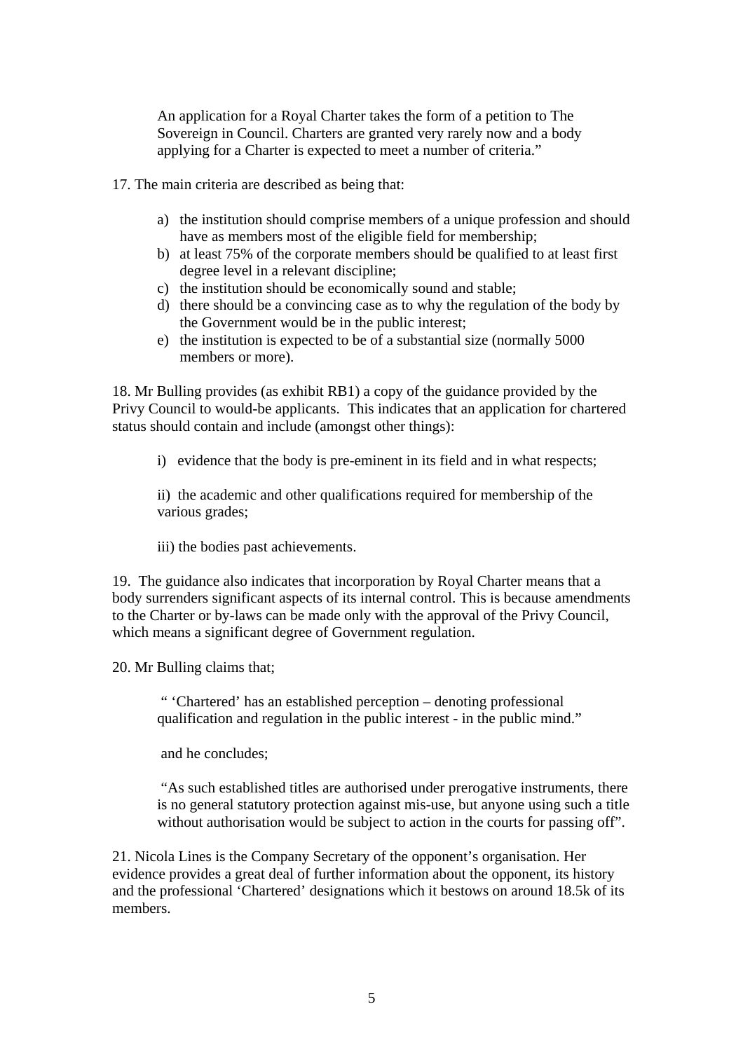An application for a Royal Charter takes the form of a petition to The Sovereign in Council. Charters are granted very rarely now and a body applying for a Charter is expected to meet a number of criteria."

17. The main criteria are described as being that:

- a) the institution should comprise members of a unique profession and should have as members most of the eligible field for membership;
- b) at least 75% of the corporate members should be qualified to at least first degree level in a relevant discipline;
- c) the institution should be economically sound and stable;
- d) there should be a convincing case as to why the regulation of the body by the Government would be in the public interest;
- e) the institution is expected to be of a substantial size (normally 5000 members or more).

18. Mr Bulling provides (as exhibit RB1) a copy of the guidance provided by the Privy Council to would-be applicants. This indicates that an application for chartered status should contain and include (amongst other things):

i) evidence that the body is pre-eminent in its field and in what respects;

ii) the academic and other qualifications required for membership of the various grades;

iii) the bodies past achievements.

19. The guidance also indicates that incorporation by Royal Charter means that a body surrenders significant aspects of its internal control. This is because amendments to the Charter or by-laws can be made only with the approval of the Privy Council, which means a significant degree of Government regulation.

20. Mr Bulling claims that;

" 'Chartered' has an established perception – denoting professional qualification and regulation in the public interest - in the public mind."

and he concludes;

"As such established titles are authorised under prerogative instruments, there is no general statutory protection against mis-use, but anyone using such a title without authorisation would be subject to action in the courts for passing off".

21. Nicola Lines is the Company Secretary of the opponent's organisation. Her evidence provides a great deal of further information about the opponent, its history and the professional 'Chartered' designations which it bestows on around 18.5k of its members.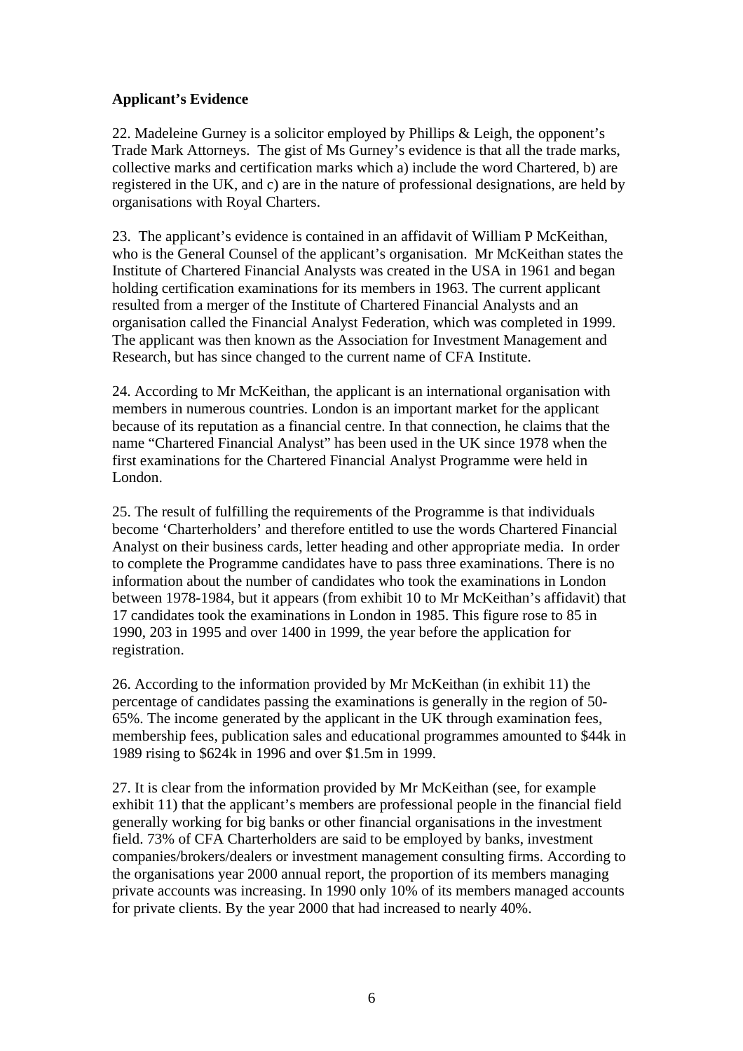### **Applicant's Evidence**

22. Madeleine Gurney is a solicitor employed by Phillips & Leigh, the opponent's Trade Mark Attorneys. The gist of Ms Gurney's evidence is that all the trade marks, collective marks and certification marks which a) include the word Chartered, b) are registered in the UK, and c) are in the nature of professional designations, are held by organisations with Royal Charters.

23. The applicant's evidence is contained in an affidavit of William P McKeithan, who is the General Counsel of the applicant's organisation. Mr McKeithan states the Institute of Chartered Financial Analysts was created in the USA in 1961 and began holding certification examinations for its members in 1963. The current applicant resulted from a merger of the Institute of Chartered Financial Analysts and an organisation called the Financial Analyst Federation, which was completed in 1999. The applicant was then known as the Association for Investment Management and Research, but has since changed to the current name of CFA Institute.

24. According to Mr McKeithan, the applicant is an international organisation with members in numerous countries. London is an important market for the applicant because of its reputation as a financial centre. In that connection, he claims that the name "Chartered Financial Analyst" has been used in the UK since 1978 when the first examinations for the Chartered Financial Analyst Programme were held in London.

25. The result of fulfilling the requirements of the Programme is that individuals become 'Charterholders' and therefore entitled to use the words Chartered Financial Analyst on their business cards, letter heading and other appropriate media. In order to complete the Programme candidates have to pass three examinations. There is no information about the number of candidates who took the examinations in London between 1978-1984, but it appears (from exhibit 10 to Mr McKeithan's affidavit) that 17 candidates took the examinations in London in 1985. This figure rose to 85 in 1990, 203 in 1995 and over 1400 in 1999, the year before the application for registration.

26. According to the information provided by Mr McKeithan (in exhibit 11) the percentage of candidates passing the examinations is generally in the region of 50- 65%. The income generated by the applicant in the UK through examination fees, membership fees, publication sales and educational programmes amounted to \$44k in 1989 rising to \$624k in 1996 and over \$1.5m in 1999.

27. It is clear from the information provided by Mr McKeithan (see, for example exhibit 11) that the applicant's members are professional people in the financial field generally working for big banks or other financial organisations in the investment field. 73% of CFA Charterholders are said to be employed by banks, investment companies/brokers/dealers or investment management consulting firms. According to the organisations year 2000 annual report, the proportion of its members managing private accounts was increasing. In 1990 only 10% of its members managed accounts for private clients. By the year 2000 that had increased to nearly 40%.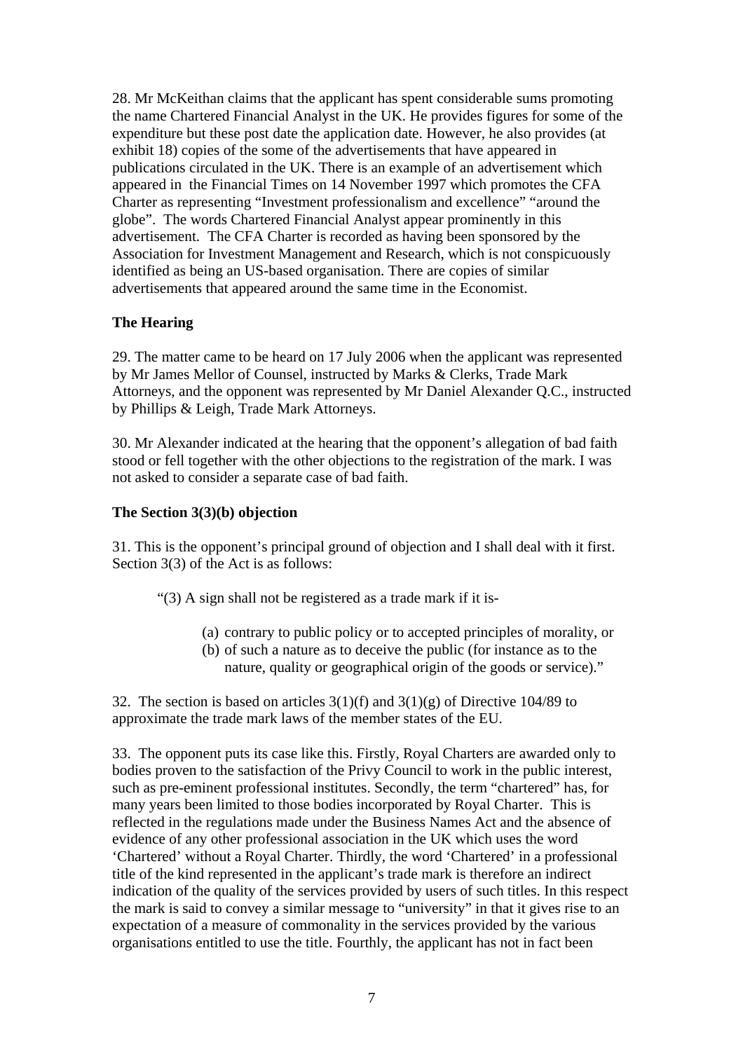28. Mr McKeithan claims that the applicant has spent considerable sums promoting the name Chartered Financial Analyst in the UK. He provides figures for some of the expenditure but these post date the application date. However, he also provides (at exhibit 18) copies of the some of the advertisements that have appeared in publications circulated in the UK. There is an example of an advertisement which appeared in the Financial Times on 14 November 1997 which promotes the CFA Charter as representing "Investment professionalism and excellence" "around the globe". The words Chartered Financial Analyst appear prominently in this advertisement. The CFA Charter is recorded as having been sponsored by the Association for Investment Management and Research, which is not conspicuously identified as being an US-based organisation. There are copies of similar advertisements that appeared around the same time in the Economist.

#### **The Hearing**

29. The matter came to be heard on 17 July 2006 when the applicant was represented by Mr James Mellor of Counsel, instructed by Marks & Clerks, Trade Mark Attorneys, and the opponent was represented by Mr Daniel Alexander Q.C., instructed by Phillips & Leigh, Trade Mark Attorneys.

30. Mr Alexander indicated at the hearing that the opponent's allegation of bad faith stood or fell together with the other objections to the registration of the mark. I was not asked to consider a separate case of bad faith.

#### **The Section 3(3)(b) objection**

31. This is the opponent's principal ground of objection and I shall deal with it first. Section 3(3) of the Act is as follows:

"(3) A sign shall not be registered as a trade mark if it is-

- (a) contrary to public policy or to accepted principles of morality, or
- (b) of such a nature as to deceive the public (for instance as to the nature, quality or geographical origin of the goods or service)."

32. The section is based on articles  $3(1)(f)$  and  $3(1)(g)$  of Directive 104/89 to approximate the trade mark laws of the member states of the EU.

33. The opponent puts its case like this. Firstly, Royal Charters are awarded only to bodies proven to the satisfaction of the Privy Council to work in the public interest, such as pre-eminent professional institutes. Secondly, the term "chartered" has, for many years been limited to those bodies incorporated by Royal Charter. This is reflected in the regulations made under the Business Names Act and the absence of evidence of any other professional association in the UK which uses the word 'Chartered' without a Royal Charter. Thirdly, the word 'Chartered' in a professional title of the kind represented in the applicant's trade mark is therefore an indirect indication of the quality of the services provided by users of such titles. In this respect the mark is said to convey a similar message to "university" in that it gives rise to an expectation of a measure of commonality in the services provided by the various organisations entitled to use the title. Fourthly, the applicant has not in fact been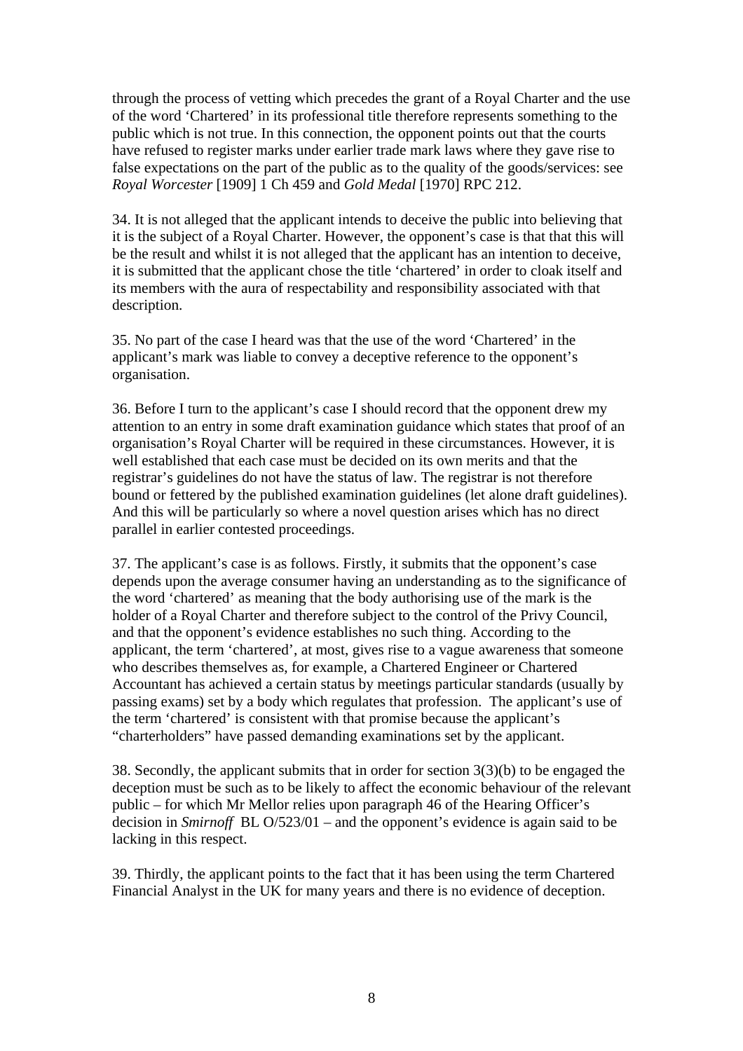through the process of vetting which precedes the grant of a Royal Charter and the use of the word 'Chartered' in its professional title therefore represents something to the public which is not true. In this connection, the opponent points out that the courts have refused to register marks under earlier trade mark laws where they gave rise to false expectations on the part of the public as to the quality of the goods/services: see *Royal Worcester* [1909] 1 Ch 459 and *Gold Medal* [1970] RPC 212.

34. It is not alleged that the applicant intends to deceive the public into believing that it is the subject of a Royal Charter. However, the opponent's case is that that this will be the result and whilst it is not alleged that the applicant has an intention to deceive, it is submitted that the applicant chose the title 'chartered' in order to cloak itself and its members with the aura of respectability and responsibility associated with that description.

35. No part of the case I heard was that the use of the word 'Chartered' in the applicant's mark was liable to convey a deceptive reference to the opponent's organisation.

36. Before I turn to the applicant's case I should record that the opponent drew my attention to an entry in some draft examination guidance which states that proof of an organisation's Royal Charter will be required in these circumstances. However, it is well established that each case must be decided on its own merits and that the registrar's guidelines do not have the status of law. The registrar is not therefore bound or fettered by the published examination guidelines (let alone draft guidelines). And this will be particularly so where a novel question arises which has no direct parallel in earlier contested proceedings.

37. The applicant's case is as follows. Firstly, it submits that the opponent's case depends upon the average consumer having an understanding as to the significance of the word 'chartered' as meaning that the body authorising use of the mark is the holder of a Royal Charter and therefore subject to the control of the Privy Council, and that the opponent's evidence establishes no such thing. According to the applicant, the term 'chartered', at most, gives rise to a vague awareness that someone who describes themselves as, for example, a Chartered Engineer or Chartered Accountant has achieved a certain status by meetings particular standards (usually by passing exams) set by a body which regulates that profession. The applicant's use of the term 'chartered' is consistent with that promise because the applicant's "charterholders" have passed demanding examinations set by the applicant.

38. Secondly, the applicant submits that in order for section 3(3)(b) to be engaged the deception must be such as to be likely to affect the economic behaviour of the relevant public – for which Mr Mellor relies upon paragraph 46 of the Hearing Officer's decision in *Smirnoff* BL O/523/01 *–* and the opponent's evidence is again said to be lacking in this respect.

39. Thirdly, the applicant points to the fact that it has been using the term Chartered Financial Analyst in the UK for many years and there is no evidence of deception.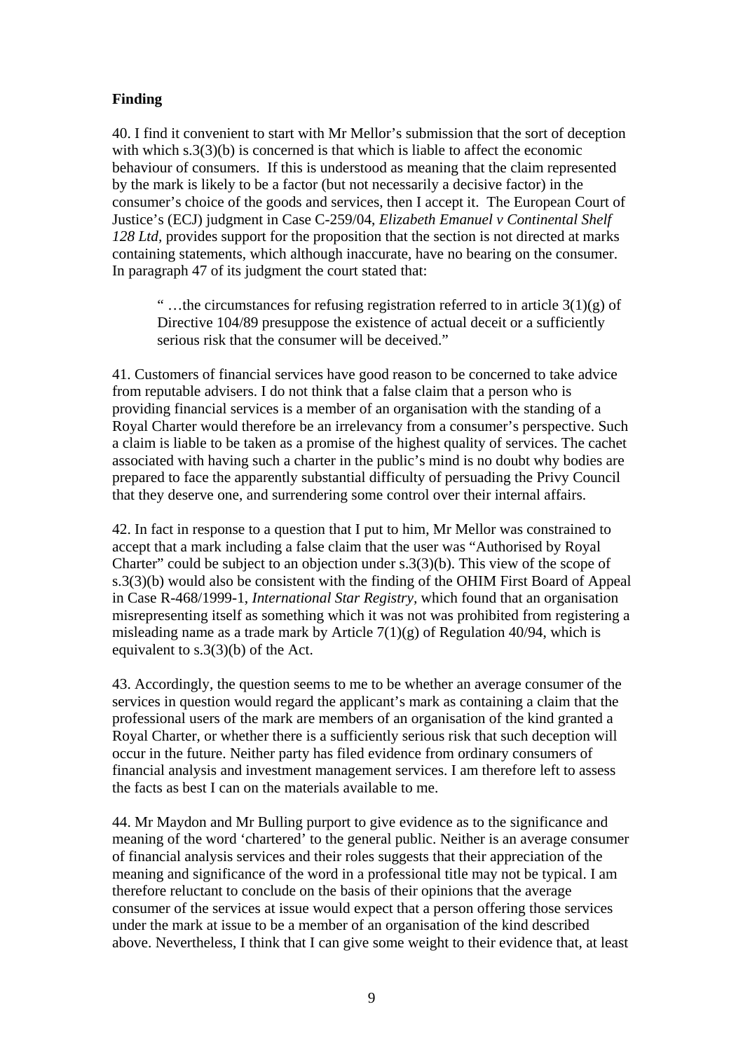# **Finding**

40. I find it convenient to start with Mr Mellor's submission that the sort of deception with which s.3(3)(b) is concerned is that which is liable to affect the economic behaviour of consumers. If this is understood as meaning that the claim represented by the mark is likely to be a factor (but not necessarily a decisive factor) in the consumer's choice of the goods and services, then I accept it. The European Court of Justice's (ECJ) judgment in Case C-259/04, *Elizabeth Emanuel v Continental Shelf 128 Ltd,* provides support for the proposition that the section is not directed at marks containing statements, which although inaccurate, have no bearing on the consumer. In paragraph 47 of its judgment the court stated that:

"...the circumstances for refusing registration referred to in article  $3(1)(g)$  of Directive 104/89 presuppose the existence of actual deceit or a sufficiently serious risk that the consumer will be deceived."

41. Customers of financial services have good reason to be concerned to take advice from reputable advisers. I do not think that a false claim that a person who is providing financial services is a member of an organisation with the standing of a Royal Charter would therefore be an irrelevancy from a consumer's perspective. Such a claim is liable to be taken as a promise of the highest quality of services. The cachet associated with having such a charter in the public's mind is no doubt why bodies are prepared to face the apparently substantial difficulty of persuading the Privy Council that they deserve one, and surrendering some control over their internal affairs.

42. In fact in response to a question that I put to him, Mr Mellor was constrained to accept that a mark including a false claim that the user was "Authorised by Royal Charter" could be subject to an objection under s.3(3)(b). This view of the scope of s.3(3)(b) would also be consistent with the finding of the OHIM First Board of Appeal in Case R-468/1999-1, *International Star Registry,* which found that an organisation misrepresenting itself as something which it was not was prohibited from registering a misleading name as a trade mark by Article  $7(1)(g)$  of Regulation 40/94, which is equivalent to s.3(3)(b) of the Act.

43. Accordingly, the question seems to me to be whether an average consumer of the services in question would regard the applicant's mark as containing a claim that the professional users of the mark are members of an organisation of the kind granted a Royal Charter, or whether there is a sufficiently serious risk that such deception will occur in the future. Neither party has filed evidence from ordinary consumers of financial analysis and investment management services. I am therefore left to assess the facts as best I can on the materials available to me.

44. Mr Maydon and Mr Bulling purport to give evidence as to the significance and meaning of the word 'chartered' to the general public. Neither is an average consumer of financial analysis services and their roles suggests that their appreciation of the meaning and significance of the word in a professional title may not be typical. I am therefore reluctant to conclude on the basis of their opinions that the average consumer of the services at issue would expect that a person offering those services under the mark at issue to be a member of an organisation of the kind described above. Nevertheless, I think that I can give some weight to their evidence that, at least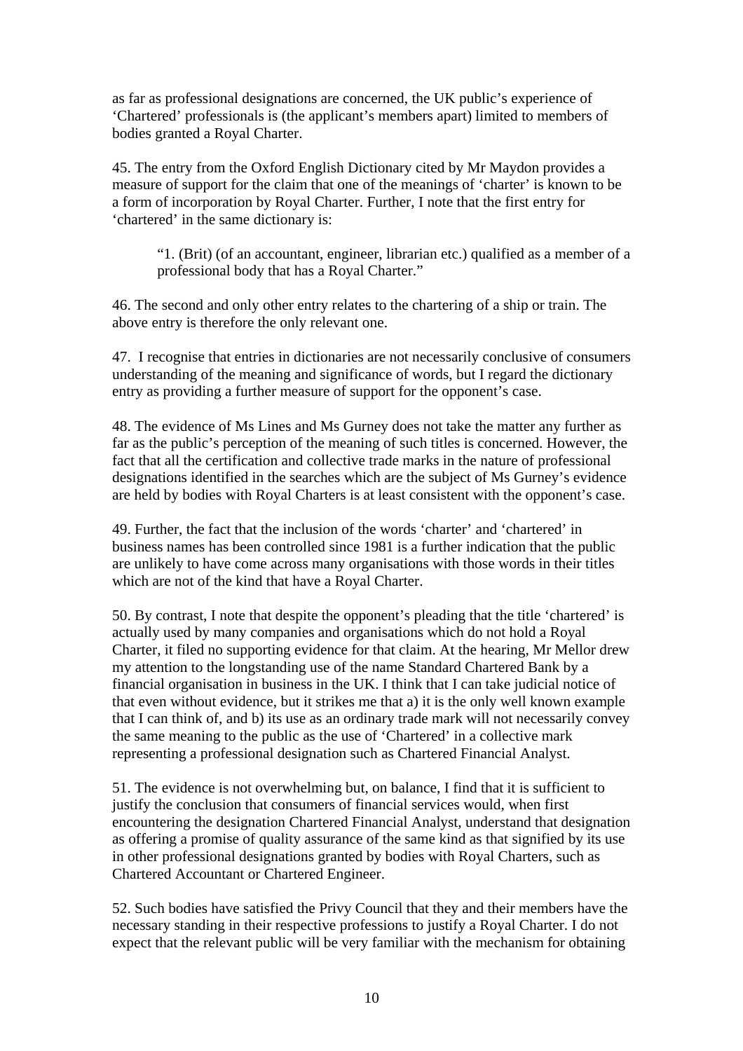as far as professional designations are concerned, the UK public's experience of 'Chartered' professionals is (the applicant's members apart) limited to members of bodies granted a Royal Charter.

45. The entry from the Oxford English Dictionary cited by Mr Maydon provides a measure of support for the claim that one of the meanings of 'charter' is known to be a form of incorporation by Royal Charter. Further, I note that the first entry for 'chartered' in the same dictionary is:

"1. (Brit) (of an accountant, engineer, librarian etc.) qualified as a member of a professional body that has a Royal Charter."

46. The second and only other entry relates to the chartering of a ship or train. The above entry is therefore the only relevant one.

47. I recognise that entries in dictionaries are not necessarily conclusive of consumers understanding of the meaning and significance of words, but I regard the dictionary entry as providing a further measure of support for the opponent's case.

48. The evidence of Ms Lines and Ms Gurney does not take the matter any further as far as the public's perception of the meaning of such titles is concerned. However, the fact that all the certification and collective trade marks in the nature of professional designations identified in the searches which are the subject of Ms Gurney's evidence are held by bodies with Royal Charters is at least consistent with the opponent's case.

49. Further, the fact that the inclusion of the words 'charter' and 'chartered' in business names has been controlled since 1981 is a further indication that the public are unlikely to have come across many organisations with those words in their titles which are not of the kind that have a Royal Charter.

50. By contrast, I note that despite the opponent's pleading that the title 'chartered' is actually used by many companies and organisations which do not hold a Royal Charter, it filed no supporting evidence for that claim. At the hearing, Mr Mellor drew my attention to the longstanding use of the name Standard Chartered Bank by a financial organisation in business in the UK. I think that I can take judicial notice of that even without evidence, but it strikes me that a) it is the only well known example that I can think of, and b) its use as an ordinary trade mark will not necessarily convey the same meaning to the public as the use of 'Chartered' in a collective mark representing a professional designation such as Chartered Financial Analyst.

51. The evidence is not overwhelming but, on balance, I find that it is sufficient to justify the conclusion that consumers of financial services would, when first encountering the designation Chartered Financial Analyst, understand that designation as offering a promise of quality assurance of the same kind as that signified by its use in other professional designations granted by bodies with Royal Charters, such as Chartered Accountant or Chartered Engineer.

52. Such bodies have satisfied the Privy Council that they and their members have the necessary standing in their respective professions to justify a Royal Charter. I do not expect that the relevant public will be very familiar with the mechanism for obtaining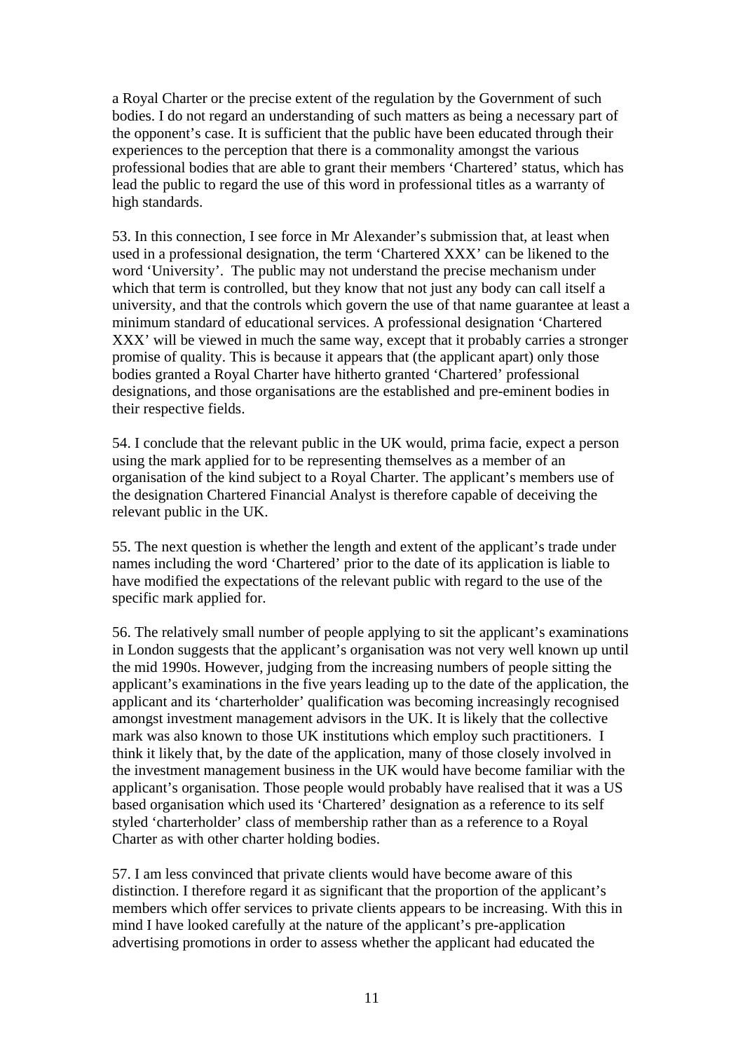a Royal Charter or the precise extent of the regulation by the Government of such bodies. I do not regard an understanding of such matters as being a necessary part of the opponent's case. It is sufficient that the public have been educated through their experiences to the perception that there is a commonality amongst the various professional bodies that are able to grant their members 'Chartered' status, which has lead the public to regard the use of this word in professional titles as a warranty of high standards.

53. In this connection, I see force in Mr Alexander's submission that, at least when used in a professional designation, the term 'Chartered XXX' can be likened to the word 'University'. The public may not understand the precise mechanism under which that term is controlled, but they know that not just any body can call itself a university, and that the controls which govern the use of that name guarantee at least a minimum standard of educational services. A professional designation 'Chartered XXX' will be viewed in much the same way, except that it probably carries a stronger promise of quality. This is because it appears that (the applicant apart) only those bodies granted a Royal Charter have hitherto granted 'Chartered' professional designations, and those organisations are the established and pre-eminent bodies in their respective fields.

54. I conclude that the relevant public in the UK would, prima facie, expect a person using the mark applied for to be representing themselves as a member of an organisation of the kind subject to a Royal Charter. The applicant's members use of the designation Chartered Financial Analyst is therefore capable of deceiving the relevant public in the UK.

55. The next question is whether the length and extent of the applicant's trade under names including the word 'Chartered' prior to the date of its application is liable to have modified the expectations of the relevant public with regard to the use of the specific mark applied for.

56. The relatively small number of people applying to sit the applicant's examinations in London suggests that the applicant's organisation was not very well known up until the mid 1990s. However, judging from the increasing numbers of people sitting the applicant's examinations in the five years leading up to the date of the application, the applicant and its 'charterholder' qualification was becoming increasingly recognised amongst investment management advisors in the UK. It is likely that the collective mark was also known to those UK institutions which employ such practitioners. I think it likely that, by the date of the application, many of those closely involved in the investment management business in the UK would have become familiar with the applicant's organisation. Those people would probably have realised that it was a US based organisation which used its 'Chartered' designation as a reference to its self styled 'charterholder' class of membership rather than as a reference to a Royal Charter as with other charter holding bodies.

57. I am less convinced that private clients would have become aware of this distinction. I therefore regard it as significant that the proportion of the applicant's members which offer services to private clients appears to be increasing. With this in mind I have looked carefully at the nature of the applicant's pre-application advertising promotions in order to assess whether the applicant had educated the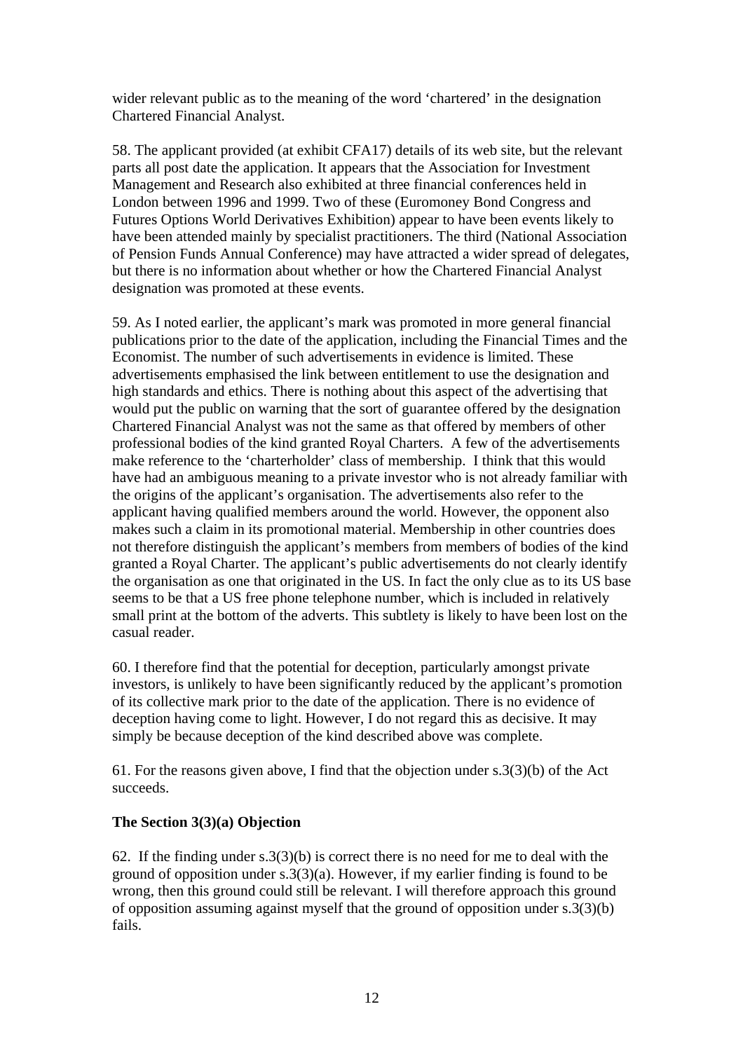wider relevant public as to the meaning of the word 'chartered' in the designation Chartered Financial Analyst.

58. The applicant provided (at exhibit CFA17) details of its web site, but the relevant parts all post date the application. It appears that the Association for Investment Management and Research also exhibited at three financial conferences held in London between 1996 and 1999. Two of these (Euromoney Bond Congress and Futures Options World Derivatives Exhibition) appear to have been events likely to have been attended mainly by specialist practitioners. The third (National Association of Pension Funds Annual Conference) may have attracted a wider spread of delegates, but there is no information about whether or how the Chartered Financial Analyst designation was promoted at these events.

59. As I noted earlier, the applicant's mark was promoted in more general financial publications prior to the date of the application, including the Financial Times and the Economist. The number of such advertisements in evidence is limited. These advertisements emphasised the link between entitlement to use the designation and high standards and ethics. There is nothing about this aspect of the advertising that would put the public on warning that the sort of guarantee offered by the designation Chartered Financial Analyst was not the same as that offered by members of other professional bodies of the kind granted Royal Charters. A few of the advertisements make reference to the 'charterholder' class of membership. I think that this would have had an ambiguous meaning to a private investor who is not already familiar with the origins of the applicant's organisation. The advertisements also refer to the applicant having qualified members around the world. However, the opponent also makes such a claim in its promotional material. Membership in other countries does not therefore distinguish the applicant's members from members of bodies of the kind granted a Royal Charter. The applicant's public advertisements do not clearly identify the organisation as one that originated in the US. In fact the only clue as to its US base seems to be that a US free phone telephone number, which is included in relatively small print at the bottom of the adverts. This subtlety is likely to have been lost on the casual reader.

60. I therefore find that the potential for deception, particularly amongst private investors, is unlikely to have been significantly reduced by the applicant's promotion of its collective mark prior to the date of the application. There is no evidence of deception having come to light. However, I do not regard this as decisive. It may simply be because deception of the kind described above was complete.

61. For the reasons given above, I find that the objection under s.3(3)(b) of the Act succeeds.

# **The Section 3(3)(a) Objection**

62. If the finding under s.3(3)(b) is correct there is no need for me to deal with the ground of opposition under s.3(3)(a). However, if my earlier finding is found to be wrong, then this ground could still be relevant. I will therefore approach this ground of opposition assuming against myself that the ground of opposition under s.3(3)(b) fails.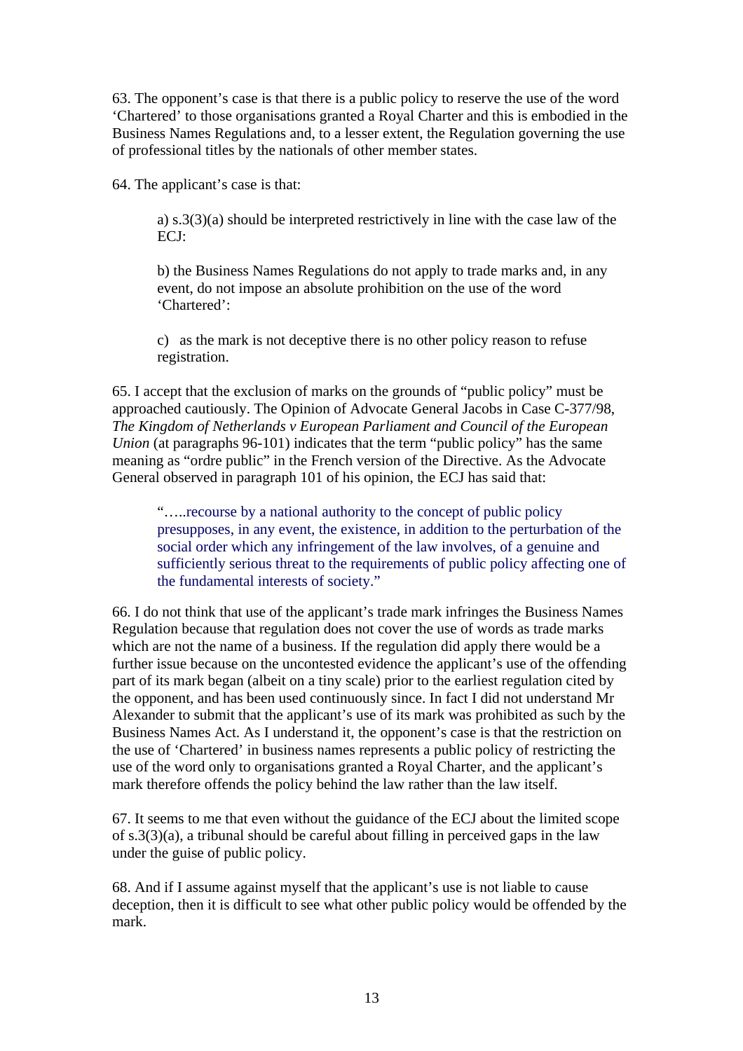63. The opponent's case is that there is a public policy to reserve the use of the word 'Chartered' to those organisations granted a Royal Charter and this is embodied in the Business Names Regulations and, to a lesser extent, the Regulation governing the use of professional titles by the nationals of other member states.

64. The applicant's case is that:

a) s.3(3)(a) should be interpreted restrictively in line with the case law of the ECJ:

b) the Business Names Regulations do not apply to trade marks and, in any event, do not impose an absolute prohibition on the use of the word 'Chartered':

c) as the mark is not deceptive there is no other policy reason to refuse registration.

65. I accept that the exclusion of marks on the grounds of "public policy" must be approached cautiously. The Opinion of Advocate General Jacobs in Case C-377/98, *The Kingdom of Netherlands v European Parliament and Council of the European Union* (at paragraphs 96-101) indicates that the term "public policy" has the same meaning as "ordre public" in the French version of the Directive. As the Advocate General observed in paragraph 101 of his opinion, the ECJ has said that:

"…..recourse by a national authority to the concept of public policy presupposes, in any event, the existence, in addition to the perturbation of the social order which any infringement of the law involves, of a genuine and sufficiently serious threat to the requirements of public policy affecting one of the fundamental interests of society."

66. I do not think that use of the applicant's trade mark infringes the Business Names Regulation because that regulation does not cover the use of words as trade marks which are not the name of a business. If the regulation did apply there would be a further issue because on the uncontested evidence the applicant's use of the offending part of its mark began (albeit on a tiny scale) prior to the earliest regulation cited by the opponent, and has been used continuously since. In fact I did not understand Mr Alexander to submit that the applicant's use of its mark was prohibited as such by the Business Names Act. As I understand it, the opponent's case is that the restriction on the use of 'Chartered' in business names represents a public policy of restricting the use of the word only to organisations granted a Royal Charter, and the applicant's mark therefore offends the policy behind the law rather than the law itself.

67. It seems to me that even without the guidance of the ECJ about the limited scope of s.3(3)(a), a tribunal should be careful about filling in perceived gaps in the law under the guise of public policy.

68. And if I assume against myself that the applicant's use is not liable to cause deception, then it is difficult to see what other public policy would be offended by the mark.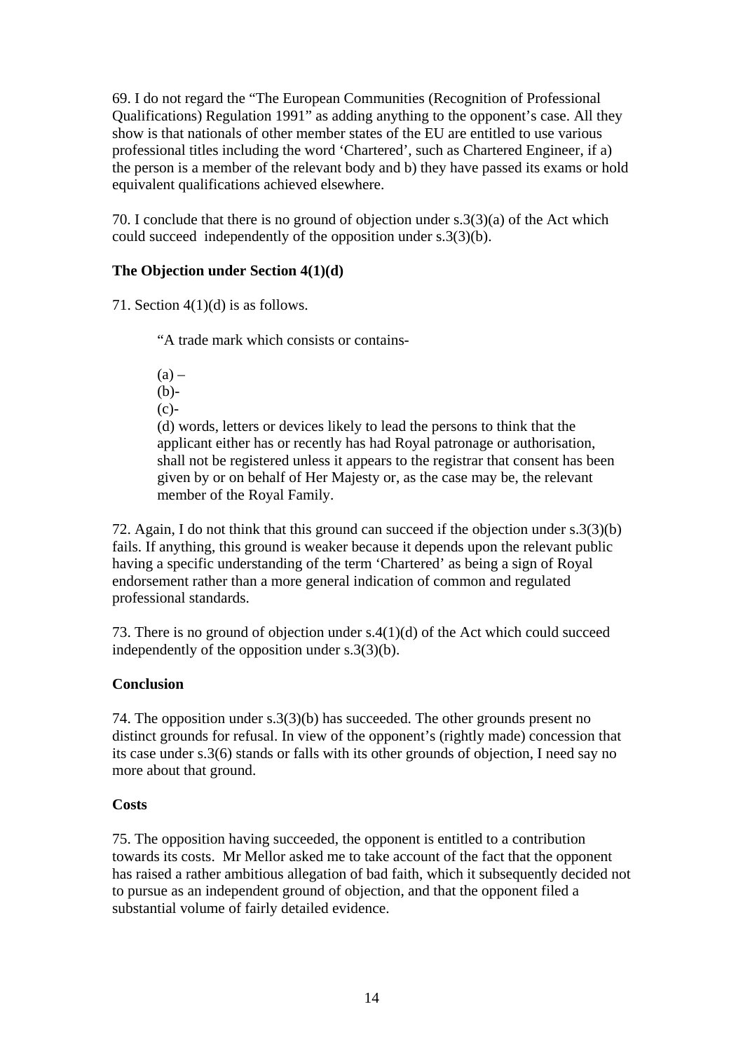69. I do not regard the "The European Communities (Recognition of Professional Qualifications) Regulation 1991" as adding anything to the opponent's case. All they show is that nationals of other member states of the EU are entitled to use various professional titles including the word 'Chartered', such as Chartered Engineer, if a) the person is a member of the relevant body and b) they have passed its exams or hold equivalent qualifications achieved elsewhere.

70. I conclude that there is no ground of objection under s.3(3)(a) of the Act which could succeed independently of the opposition under s.3(3)(b).

# **The Objection under Section 4(1)(d)**

71. Section  $4(1)(d)$  is as follows.

"A trade mark which consists or contains-

 $(a)$  –  $(b)$ - $(c)-$ 

(d) words, letters or devices likely to lead the persons to think that the applicant either has or recently has had Royal patronage or authorisation, shall not be registered unless it appears to the registrar that consent has been given by or on behalf of Her Majesty or, as the case may be, the relevant member of the Royal Family.

72. Again, I do not think that this ground can succeed if the objection under s.3(3)(b) fails. If anything, this ground is weaker because it depends upon the relevant public having a specific understanding of the term 'Chartered' as being a sign of Royal endorsement rather than a more general indication of common and regulated professional standards.

73. There is no ground of objection under s.4(1)(d) of the Act which could succeed independently of the opposition under s.3(3)(b).

# **Conclusion**

74. The opposition under s.3(3)(b) has succeeded. The other grounds present no distinct grounds for refusal. In view of the opponent's (rightly made) concession that its case under s.3(6) stands or falls with its other grounds of objection, I need say no more about that ground.

# **Costs**

75. The opposition having succeeded, the opponent is entitled to a contribution towards its costs. Mr Mellor asked me to take account of the fact that the opponent has raised a rather ambitious allegation of bad faith, which it subsequently decided not to pursue as an independent ground of objection, and that the opponent filed a substantial volume of fairly detailed evidence.